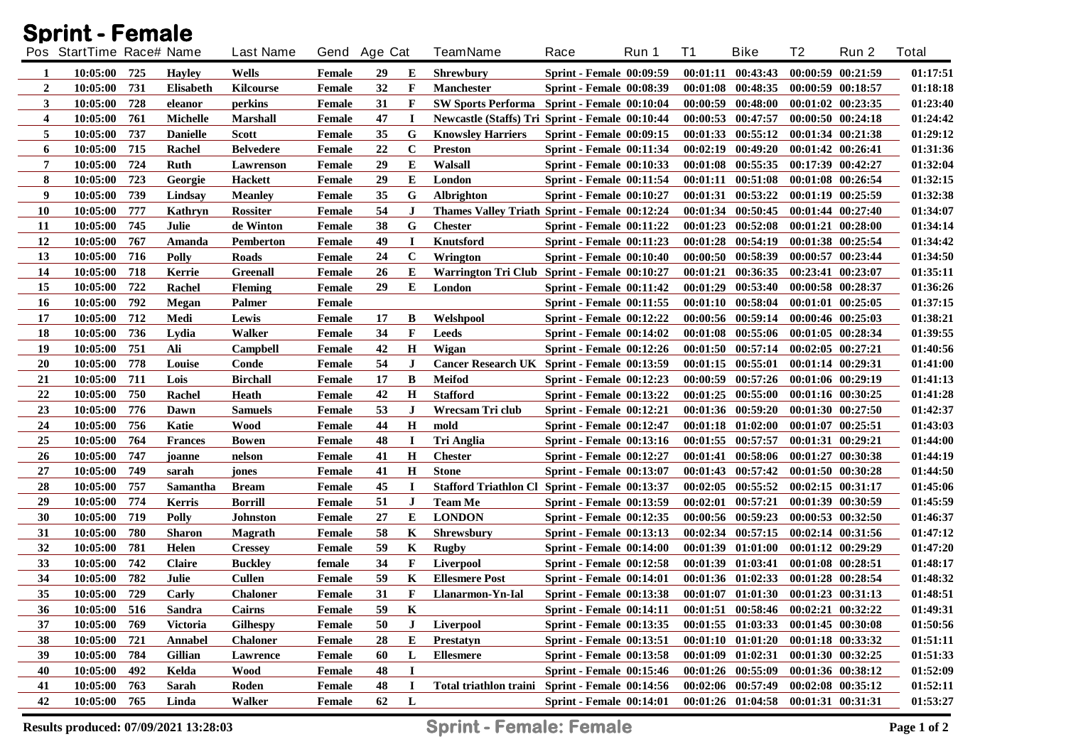| <b>Sprint - Female</b> |                          |       |                  |                  |               |    |              |                                                       |                                 |       |          |                                     |    |                       |              |
|------------------------|--------------------------|-------|------------------|------------------|---------------|----|--------------|-------------------------------------------------------|---------------------------------|-------|----------|-------------------------------------|----|-----------------------|--------------|
|                        | Pos StartTime Race# Name |       |                  | <b>Last Name</b> | Gend Age Cat  |    |              | <b>TeamName</b>                                       | Race                            | Run 1 | T1       | <b>Bike</b>                         | T2 | Run 2                 | <b>Total</b> |
| 1                      | 10:05:00                 | 725   | <b>Hayley</b>    | Wells            | Female        | 29 | E            | <b>Shrewbury</b>                                      | <b>Sprint - Female 00:09:59</b> |       |          | $00:01:11$ $00:43:43$               |    | 00:00:59 00:21:59     | 01:17:51     |
| $\overline{2}$         | 10:05:00                 | 731   | <b>Elisabeth</b> | <b>Kilcourse</b> | <b>Female</b> | 32 | $\mathbf F$  | <b>Manchester</b>                                     | <b>Sprint - Female 00:08:39</b> |       |          | 00:01:08 00:48:35                   |    | 00:00:59 00:18:57     | 01:18:18     |
| 3                      | 10:05:00                 | 728   | eleanor          | perkins          | Female        | 31 | $\mathbf{F}$ | <b>SW Sports Performa</b> Sprint - Female 00:10:04    |                                 |       |          | $00:00:59$ $00:48:00$               |    | 00:01:02 00:23:35     | 01:23:40     |
| 4                      | 10:05:00                 | 761   | <b>Michelle</b>  | <b>Marshall</b>  | <b>Female</b> | 47 | I            | Newcastle (Staffs) Tri Sprint - Female 00:10:44       |                                 |       |          | 00:00:53 00:47:57                   |    | 00:00:50 00:24:18     | 01:24:42     |
| 5                      | 10:05:00                 | 737   | <b>Danielle</b>  | <b>Scott</b>     | Female        | 35 | G            | <b>Knowsley Harriers</b>                              | <b>Sprint - Female 00:09:15</b> |       |          | 00:01:33 00:55:12                   |    | 00:01:34 00:21:38     | 01:29:12     |
| 6                      | 10:05:00                 | 715   | Rachel           | <b>Belvedere</b> | Female        | 22 | $\mathbf C$  | <b>Preston</b>                                        | <b>Sprint - Female 00:11:34</b> |       | 00:02:19 | 00:49:20                            |    | 00:01:42 00:26:41     | 01:31:36     |
| 7                      | 10:05:00                 | 724   | Ruth             | Lawrenson        | Female        | 29 | E            | Walsall                                               | <b>Sprint - Female 00:10:33</b> |       |          | 00:01:08 00:55:35                   |    | 00:17:39 00:42:27     | 01:32:04     |
| 8                      | 10:05:00                 | 723   | Georgie          | <b>Hackett</b>   | <b>Female</b> | 29 | E            | London                                                | <b>Sprint - Female 00:11:54</b> |       | 00:01:11 | 00:51:08                            |    | 00:01:08 00:26:54     | 01:32:15     |
| 9                      | 10:05:00                 | 739   | Lindsay          | <b>Meanley</b>   | <b>Female</b> | 35 | G            | <b>Albrighton</b>                                     | Sprint - Female 00:10:27        |       |          | 00:01:31 00:53:22                   |    | 00:01:19 00:25:59     | 01:32:38     |
| <b>10</b>              | 10:05:00                 | 777   | Kathryn          | <b>Rossiter</b>  | Female        | 54 | $\mathbf{J}$ | Thames Valley Triath Sprint - Female 00:12:24         |                                 |       | 00:01:34 | 00:50:45                            |    | 00:01:44 00:27:40     | 01:34:07     |
| 11                     | 10:05:00                 | 745   | Julie            | de Winton        | Female        | 38 | G            | <b>Chester</b>                                        | Sprint - Female 00:11:22        |       |          | $00:01:23$ $00:52:08$               |    | 00:01:21 00:28:00     | 01:34:14     |
| 12                     | 10:05:00                 | 767   | Amanda           | <b>Pemberton</b> | <b>Female</b> | 49 | $\bf I$      | Knutsford                                             | <b>Sprint - Female 00:11:23</b> |       |          | 00:01:28 00:54:19                   |    | 00:01:38 00:25:54     | 01:34:42     |
| 13                     | 10:05:00                 | 716   | <b>Polly</b>     | Roads            | <b>Female</b> | 24 | $\bf C$      | Wrington                                              | Sprint - Female 00:10:40        |       |          | 00:00:50 00:58:39                   |    | 00:00:57 00:23:44     | 01:34:50     |
| 14                     | 10:05:00                 | 718   | Kerrie           | <b>Greenall</b>  | <b>Female</b> | 26 | E            | Warrington Tri Club Sprint - Female 00:10:27          |                                 |       |          | 00:01:21 00:36:35                   |    | 00:23:41 00:23:07     | 01:35:11     |
| 15                     | 10:05:00                 | 722   | Rachel           | <b>Fleming</b>   | Female        | 29 | Е            | London                                                | <b>Sprint - Female 00:11:42</b> |       |          | $00:01:29$ $00:53:40$               |    | 00:00:58 00:28:37     | 01:36:26     |
| 16                     | 10:05:00                 | 792   | Megan            | Palmer           | Female        |    |              |                                                       | <b>Sprint - Female 00:11:55</b> |       |          | 00:01:10 00:58:04                   |    | $00:01:01$ $00:25:05$ | 01:37:15     |
| 17                     | 10:05:00                 | 712   | Medi             | Lewis            | Female        | 17 | B            | Welshpool                                             | Sprint - Female 00:12:22        |       |          | $00:00:56$ $00:59:14$               |    | $00:00:46$ $00:25:03$ | 01:38:21     |
| 18                     | 10:05:00                 | 736   | Lydia            | Walker           | <b>Female</b> | 34 | $\mathbf F$  | Leeds                                                 | Sprint - Female 00:14:02        |       |          | $00:01:08$ $00:55:06$               |    | $00:01:05$ $00:28:34$ | 01:39:55     |
| 19                     | 10:05:00                 | 751   | Ali              | Campbell         | <b>Female</b> | 42 | $\mathbf H$  | Wigan                                                 | <b>Sprint - Female 00:12:26</b> |       |          | $00:01:50$ $00:57:14$               |    | $00:02:05$ $00:27:21$ | 01:40:56     |
| 20                     | 10:05:00                 | 778   | Louise           | Conde            | <b>Female</b> | 54 | $\mathbf{J}$ | Cancer Research UK Sprint - Female 00:13:59           |                                 |       |          | $00:01:15$ $00:55:01$               |    | $00:01:14$ $00:29:31$ | 01:41:00     |
| 21                     | 10:05:00                 | 711   | Lois             | <b>Birchall</b>  | <b>Female</b> | 17 | B            | <b>Meifod</b>                                         | <b>Sprint - Female 00:12:23</b> |       |          | $00:00:59$ $00:57:26$               |    | 00:01:06 00:29:19     | 01:41:13     |
| 22                     | 10:05:00                 | 750   | Rachel           | Heath            | <b>Female</b> | 42 | H            | <b>Stafford</b>                                       | <b>Sprint - Female 00:13:22</b> |       |          | $00:01:25$ $00:55:00$               |    | 00:01:16 00:30:25     | 01:41:28     |
| 23                     | 10:05:00                 | 776   | Dawn             | <b>Samuels</b>   | Female        | 53 | $\bf J$      | Wrecsam Tri club                                      | <b>Sprint - Female 00:12:21</b> |       |          | $00:01:36$ $00:59:20$               |    | 00:01:30 00:27:50     | 01:42:37     |
| 24                     | 10:05:00                 | 756   | Katie            | <b>Wood</b>      | Female        | 44 | H            | mold                                                  | <b>Sprint - Female 00:12:47</b> |       |          | $00:01:18$ $01:02:00$               |    | $00:01:07$ $00:25:51$ | 01:43:03     |
| 25                     | 10:05:00                 | 764   | <b>Frances</b>   | <b>Bowen</b>     | Female        | 48 | I            | <b>Tri Anglia</b>                                     | <b>Sprint - Female 00:13:16</b> |       |          | $00:01:55$ $00:57:57$               |    | 00:01:31 00:29:21     | 01:44:00     |
| 26                     | 10:05:00                 | 747   | joanne           | nelson           | Female        | 41 | H            | <b>Chester</b>                                        | <b>Sprint - Female 00:12:27</b> |       |          | 00:01:41 00:58:06                   |    | 00:01:27 00:30:38     | 01:44:19     |
| 27                     | 10:05:00                 | 749   | sarah            | jones            | <b>Female</b> | 41 | H            | <b>Stone</b>                                          | <b>Sprint - Female 00:13:07</b> |       |          | $00:01:43$ $00:57:42$               |    | 00:01:50 00:30:28     | 01:44:50     |
| 28                     | 10:05:00                 | 757   | Samantha         | <b>Bream</b>     | Female        | 45 | L            | <b>Stafford Triathlon Cl Sprint - Female 00:13:37</b> |                                 |       |          | $00:02:05$ $00:55:52$               |    | $00:02:15$ $00:31:17$ | 01:45:06     |
| 29                     | 10:05:00                 | 774   | Kerris           | <b>Borrill</b>   | <b>Female</b> | 51 | J            | <b>Team Me</b>                                        | <b>Sprint - Female 00:13:59</b> |       |          | 00:02:01 00:57:21                   |    | 00:01:39 00:30:59     | 01:45:59     |
| 30                     | 10:05:00                 | 719   | Polly            | <b>Johnston</b>  | Female        | 27 | Е            | <b>LONDON</b>                                         | <b>Sprint - Female 00:12:35</b> |       |          | 00:00:56 00:59:23                   |    | 00:00:53 00:32:50     | 01:46:37     |
| 31                     | 10:05:00                 | 780   | <b>Sharon</b>    | Magrath          | <b>Female</b> | 58 | K            | Shrewsbury                                            | <b>Sprint - Female 00:13:13</b> |       |          | $00:02:34$ $00:57:15$               |    | 00:02:14 00:31:56     | 01:47:12     |
| 32                     | 10:05:00                 | 781   | Helen            | <b>Cressey</b>   | <b>Female</b> | 59 | K            | <b>Rugby</b>                                          | <b>Sprint - Female 00:14:00</b> |       |          | $00:01:39$ $01:01:00$               |    | $00:01:12$ $00:29:29$ | 01:47:20     |
| 33                     | 10:05:00                 | 742   | <b>Claire</b>    | <b>Buckley</b>   | female        | 34 | F            | Liverpool                                             | <b>Sprint - Female 00:12:58</b> |       |          | 00:01:39 01:03:41                   |    | $00:01:08$ $00:28:51$ | 01:48:17     |
| 34                     | 10:05:00                 | 782   | Julie            | <b>Cullen</b>    | Female        | 59 | K            | <b>Ellesmere Post</b>                                 | <b>Sprint - Female 00:14:01</b> |       |          | 00:01:36 01:02:33                   |    | 00:01:28 00:28:54     | 01:48:32     |
| 35                     | 10:05:00                 | $729$ | Carly            | <b>Chaloner</b>  | Female        | 31 | $\mathbf F$  | Llanarmon-Yn-Ial                                      | <b>Sprint - Female 00:13:38</b> |       |          | 00:01:07 01:01:30 00:01:23 00:31:13 |    |                       | 01:48:51     |
| 36                     | 10:05:00                 | 516   | <b>Sandra</b>    | Cairns           | <b>Female</b> | 59 | K            |                                                       | Sprint - Female 00:14:11        |       |          | $00:01:51$ $00:58:46$               |    | 00:02:21 00:32:22     | 01:49:31     |
| 37                     | 10:05:00                 | 769   | <b>Victoria</b>  | Gilhespy         | Female        | 50 | J            | Liverpool                                             | <b>Sprint - Female 00:13:35</b> |       |          | $00:01:55$ $01:03:33$               |    | 00:01:45 00:30:08     | 01:50:56     |
| 38                     | 10:05:00                 | 721   | Annabel          | <b>Chaloner</b>  | Female        | 28 | E            | <b>Prestatyn</b>                                      | <b>Sprint - Female 00:13:51</b> |       |          | $00:01:10$ $01:01:20$               |    | 00:01:18 00:33:32     | 01:51:11     |
| 39                     | 10:05:00                 | 784   | Gillian          | Lawrence         | Female        | 60 | L            | <b>Ellesmere</b>                                      | <b>Sprint - Female 00:13:58</b> |       |          | $00:01:09$ $01:02:31$               |    | 00:01:30 00:32:25     | 01:51:33     |
| 40                     | 10:05:00                 | 492   | Kelda            | Wood             | <b>Female</b> | 48 | $\bf{I}$     |                                                       | <b>Sprint - Female 00:15:46</b> |       |          | $00:01:26$ $00:55:09$               |    | 00:01:36 00:38:12     | 01:52:09     |
| 41                     | 10:05:00                 | 763   | Sarah            | Roden            | <b>Female</b> | 48 | $\bf{I}$     | Total triathlon traini Sprint - Female 00:14:56       |                                 |       |          | 00:02:06 00:57:49                   |    | $00:02:08$ $00:35:12$ | 01:52:11     |
| 42                     | 10:05:00                 | 765   | Linda            | Walker           | Female        | 62 | L            |                                                       | <b>Sprint - Female 00:14:01</b> |       |          | $00:01:26$ $01:04:58$               |    | 00:01:31 00:31:31     | 01:53:27     |